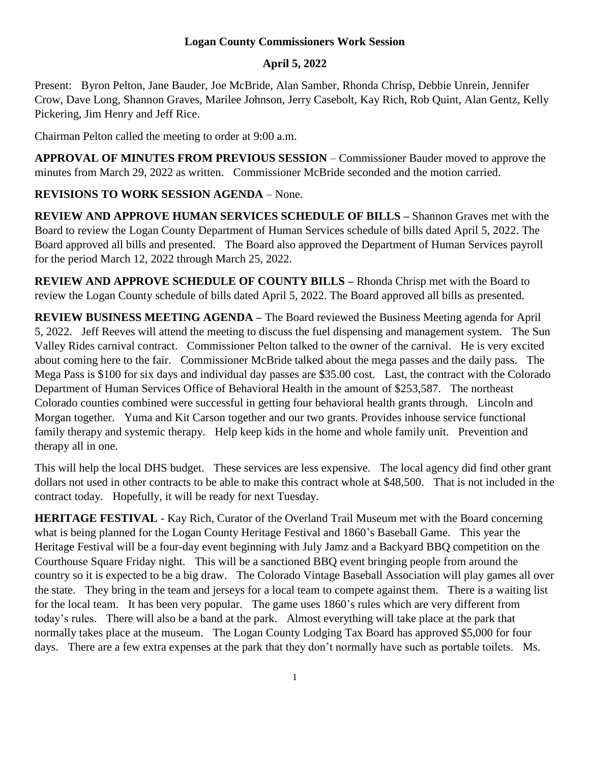## **Logan County Commissioners Work Session**

## **April 5, 2022**

Present: Byron Pelton, Jane Bauder, Joe McBride, Alan Samber, Rhonda Chrisp, Debbie Unrein, Jennifer Crow, Dave Long, Shannon Graves, Marilee Johnson, Jerry Casebolt, Kay Rich, Rob Quint, Alan Gentz, Kelly Pickering, Jim Henry and Jeff Rice.

Chairman Pelton called the meeting to order at 9:00 a.m.

**APPROVAL OF MINUTES FROM PREVIOUS SESSION** – Commissioner Bauder moved to approve the minutes from March 29, 2022 as written. Commissioner McBride seconded and the motion carried.

## **REVISIONS TO WORK SESSION AGENDA** – None.

**REVIEW AND APPROVE HUMAN SERVICES SCHEDULE OF BILLS –** Shannon Graves met with the Board to review the Logan County Department of Human Services schedule of bills dated April 5, 2022. The Board approved all bills and presented. The Board also approved the Department of Human Services payroll for the period March 12, 2022 through March 25, 2022.

**REVIEW AND APPROVE SCHEDULE OF COUNTY BILLS –** Rhonda Chrisp met with the Board to review the Logan County schedule of bills dated April 5, 2022. The Board approved all bills as presented.

**REVIEW BUSINESS MEETING AGENDA –** The Board reviewed the Business Meeting agenda for April 5, 2022. Jeff Reeves will attend the meeting to discuss the fuel dispensing and management system. The Sun Valley Rides carnival contract. Commissioner Pelton talked to the owner of the carnival. He is very excited about coming here to the fair. Commissioner McBride talked about the mega passes and the daily pass. The Mega Pass is \$100 for six days and individual day passes are \$35.00 cost. Last, the contract with the Colorado Department of Human Services Office of Behavioral Health in the amount of \$253,587. The northeast Colorado counties combined were successful in getting four behavioral health grants through. Lincoln and Morgan together. Yuma and Kit Carson together and our two grants. Provides inhouse service functional family therapy and systemic therapy. Help keep kids in the home and whole family unit. Prevention and therapy all in one.

This will help the local DHS budget. These services are less expensive. The local agency did find other grant dollars not used in other contracts to be able to make this contract whole at \$48,500. That is not included in the contract today. Hopefully, it will be ready for next Tuesday.

**HERITAGE FESTIVAL** - Kay Rich, Curator of the Overland Trail Museum met with the Board concerning what is being planned for the Logan County Heritage Festival and 1860's Baseball Game. This year the Heritage Festival will be a four-day event beginning with July Jamz and a Backyard BBQ competition on the Courthouse Square Friday night. This will be a sanctioned BBQ event bringing people from around the country so it is expected to be a big draw. The Colorado Vintage Baseball Association will play games all over the state. They bring in the team and jerseys for a local team to compete against them. There is a waiting list for the local team. It has been very popular. The game uses 1860's rules which are very different from today's rules. There will also be a band at the park. Almost everything will take place at the park that normally takes place at the museum. The Logan County Lodging Tax Board has approved \$5,000 for four days. There are a few extra expenses at the park that they don't normally have such as portable toilets. Ms.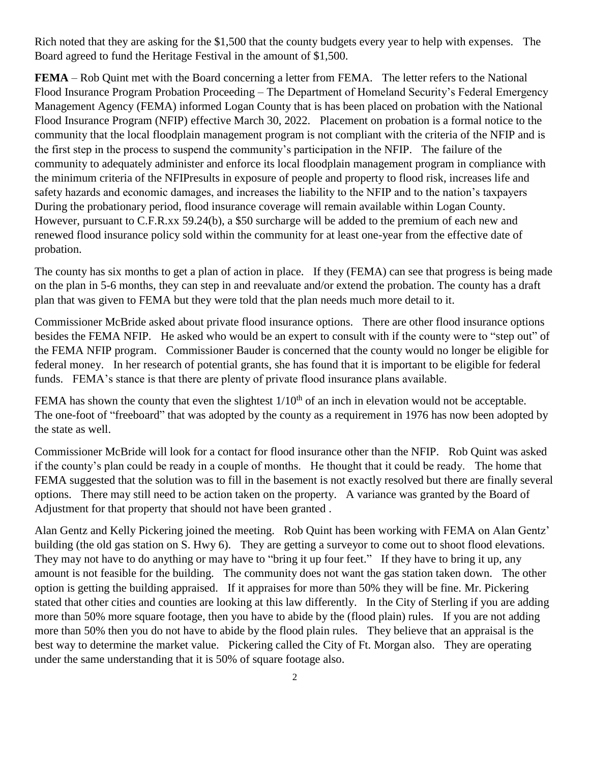Rich noted that they are asking for the \$1,500 that the county budgets every year to help with expenses. The Board agreed to fund the Heritage Festival in the amount of \$1,500.

**FEMA** – Rob Quint met with the Board concerning a letter from FEMA. The letter refers to the National Flood Insurance Program Probation Proceeding – The Department of Homeland Security's Federal Emergency Management Agency (FEMA) informed Logan County that is has been placed on probation with the National Flood Insurance Program (NFIP) effective March 30, 2022. Placement on probation is a formal notice to the community that the local floodplain management program is not compliant with the criteria of the NFIP and is the first step in the process to suspend the community's participation in the NFIP. The failure of the community to adequately administer and enforce its local floodplain management program in compliance with the minimum criteria of the NFIPresults in exposure of people and property to flood risk, increases life and safety hazards and economic damages, and increases the liability to the NFIP and to the nation's taxpayers During the probationary period, flood insurance coverage will remain available within Logan County. However, pursuant to C.F.R.xx 59.24(b), a \$50 surcharge will be added to the premium of each new and renewed flood insurance policy sold within the community for at least one-year from the effective date of probation.

The county has six months to get a plan of action in place. If they (FEMA) can see that progress is being made on the plan in 5-6 months, they can step in and reevaluate and/or extend the probation. The county has a draft plan that was given to FEMA but they were told that the plan needs much more detail to it.

Commissioner McBride asked about private flood insurance options. There are other flood insurance options besides the FEMA NFIP. He asked who would be an expert to consult with if the county were to "step out" of the FEMA NFIP program. Commissioner Bauder is concerned that the county would no longer be eligible for federal money. In her research of potential grants, she has found that it is important to be eligible for federal funds. FEMA's stance is that there are plenty of private flood insurance plans available.

FEMA has shown the county that even the slightest  $1/10<sup>th</sup>$  of an inch in elevation would not be acceptable. The one-foot of "freeboard" that was adopted by the county as a requirement in 1976 has now been adopted by the state as well.

Commissioner McBride will look for a contact for flood insurance other than the NFIP. Rob Quint was asked if the county's plan could be ready in a couple of months. He thought that it could be ready. The home that FEMA suggested that the solution was to fill in the basement is not exactly resolved but there are finally several options. There may still need to be action taken on the property. A variance was granted by the Board of Adjustment for that property that should not have been granted .

Alan Gentz and Kelly Pickering joined the meeting. Rob Quint has been working with FEMA on Alan Gentz' building (the old gas station on S. Hwy 6). They are getting a surveyor to come out to shoot flood elevations. They may not have to do anything or may have to "bring it up four feet." If they have to bring it up, any amount is not feasible for the building. The community does not want the gas station taken down. The other option is getting the building appraised. If it appraises for more than 50% they will be fine. Mr. Pickering stated that other cities and counties are looking at this law differently. In the City of Sterling if you are adding more than 50% more square footage, then you have to abide by the (flood plain) rules. If you are not adding more than 50% then you do not have to abide by the flood plain rules. They believe that an appraisal is the best way to determine the market value. Pickering called the City of Ft. Morgan also. They are operating under the same understanding that it is 50% of square footage also.